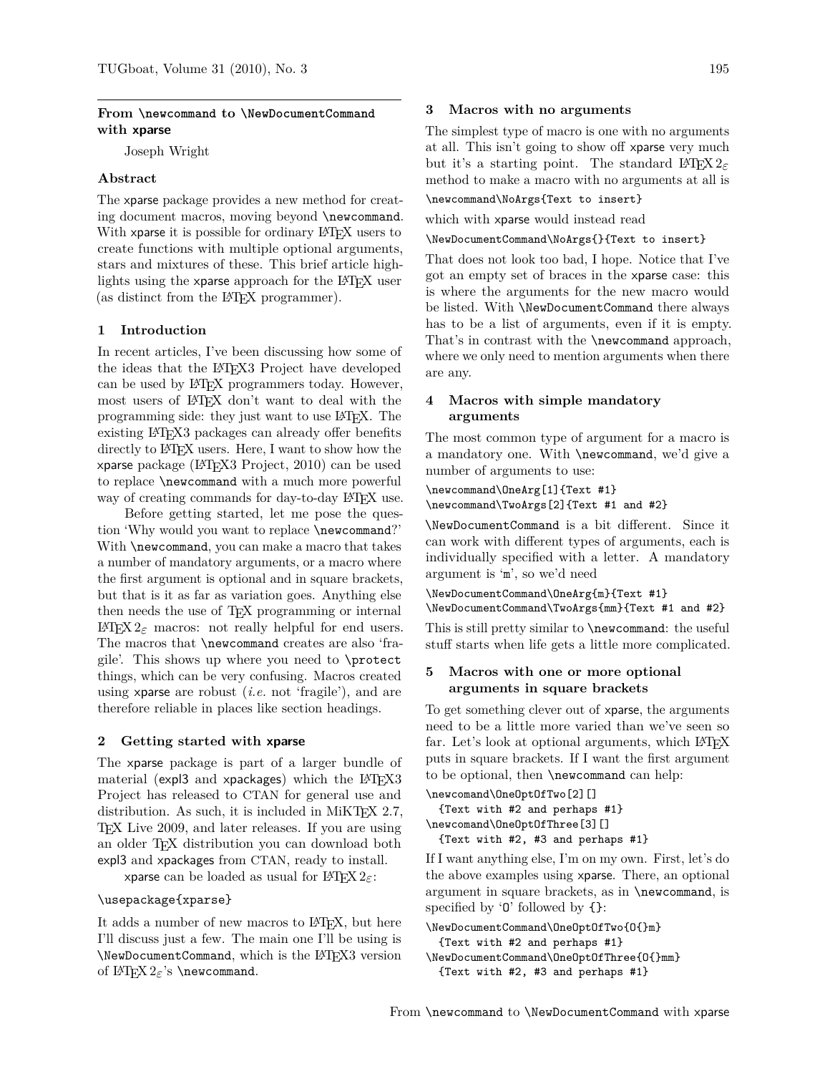### **From \newcommand to \NewDocumentCommand with xparse**

Joseph Wright

## **Abstract**

The xparse package provides a new method for creating document macros, moving beyond \newcommand. With xparse it is possible for ordinary LATEX users to create functions with multiple optional arguments, stars and mixtures of these. This brief article highlights using the xparse approach for the LATEX user (as distinct from the LATEX programmer).

#### **1 Introduction**

In recent articles, I've been discussing how some of the ideas that the LATEX3 Project have developed can be used by LATEX programmers today. However, most users of LATEX don't want to deal with the programming side: they just want to use LATEX. The existing LATEX3 packages can already offer benefits directly to LATEX users. Here, I want to show how the xparse package (LA[TEX3 Project, 2010\)](#page-1-0) can be used to replace \newcommand with a much more powerful way of creating commands for day-to-day LAT<sub>EX</sub> use.

Before getting started, let me pose the question 'Why would you want to replace \newcommand?' With **\newcommand**, you can make a macro that takes a number of mandatory arguments, or a macro where the first argument is optional and in square brackets, but that is it as far as variation goes. Anything else then needs the use of TEX programming or internal LAT<sub>E</sub>X 2<sub>ε</sub> macros: not really helpful for end users. The macros that \newcommand creates are also 'fragile'. This shows up where you need to \protect things, which can be very confusing. Macros created using xparse are robust (*i.e.* not 'fragile'), and are therefore reliable in places like section headings.

#### **2 Getting started with xparse**

The xparse package is part of a larger bundle of material (expl3 and xpackages) which the  $L^2T_FX3$ Project has released to CTAN for general use and distribution. As such, it is included in MiKT<sub>E</sub>X 2.7, TEX Live 2009, and later releases. If you are using an older TEX distribution you can download both expl3 and xpackages from CTAN, ready to install.

xparse can be loaded as usual for LATEX 2*ε*:

#### \usepackage{xparse}

It adds a number of new macros to LAT<sub>EX</sub>, but here I'll discuss just a few. The main one I'll be using is \NewDocumentCommand, which is the LATEX3 version of LATEX 2*ε*'s \newcommand.

#### **3 Macros with no arguments**

The simplest type of macro is one with no arguments at all. This isn't going to show off xparse very much but it's a starting point. The standard  $\text{LATEX } 2\varepsilon$ method to make a macro with no arguments at all is

\newcommand\NoArgs{Text to insert}

which with xparse would instead read

\NewDocumentCommand\NoArgs{}{Text to insert}

That does not look too bad, I hope. Notice that I've got an empty set of braces in the xparse case: this is where the arguments for the new macro would be listed. With \NewDocumentCommand there always has to be a list of arguments, even if it is empty. That's in contrast with the \newcommand approach, where we only need to mention arguments when there are any.

# **4 Macros with simple mandatory arguments**

The most common type of argument for a macro is a mandatory one. With \newcommand, we'd give a number of arguments to use:

```
\newcommand\OneArg[1]{Text #1}
\newcommand\TwoArgs[2]{Text #1 and #2}
```
\NewDocumentCommand is a bit different. Since it can work with different types of arguments, each is individually specified with a letter. A mandatory argument is 'm', so we'd need

\NewDocumentCommand\OneArg{m}{Text #1} \NewDocumentCommand\TwoArgs{mm}{Text #1 and #2}

This is still pretty similar to \newcommand: the useful stuff starts when life gets a little more complicated.

### **5 Macros with one or more optional arguments in square brackets**

To get something clever out of xparse, the arguments need to be a little more varied than we've seen so far. Let's look at optional arguments, which LAT<sub>E</sub>X puts in square brackets. If I want the first argument to be optional, then \newcommand can help:

```
\newcomand\OneOptOfTwo[2][]
  {Text with #2 and perhaps #1}
\newcomand\OneOptOfThree[3][]
  {Text with #2, #3 and perhaps #1}
```
If I want anything else, I'm on my own. First, let's do the above examples using xparse. There, an optional argument in square brackets, as in \newcommand, is specified by  $\mathcal{O}'$  followed by  $\{\}$ :

```
\NewDocumentCommand\OneOptOfTwo{O{}m}
  {Text with #2 and perhaps #1}
\NewDocumentCommand\OneOptOfThree{O{}mm}
  {Text with #2, #3 and perhaps #1}
```